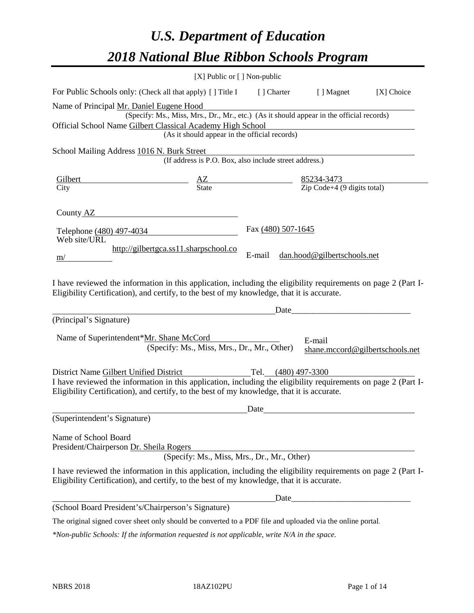# *U.S. Department of Education 2018 National Blue Ribbon Schools Program*

|                                                                                                                                                                                                                                                                            | [X] Public or [] Non-public                                                              |                    |                                                   |                                 |
|----------------------------------------------------------------------------------------------------------------------------------------------------------------------------------------------------------------------------------------------------------------------------|------------------------------------------------------------------------------------------|--------------------|---------------------------------------------------|---------------------------------|
| For Public Schools only: (Check all that apply) [] Title I [] Charter [] Magnet                                                                                                                                                                                            |                                                                                          |                    |                                                   | [X] Choice                      |
| Name of Principal Mr. Daniel Eugene Hood<br>Official School Name Gilbert Classical Academy High School                                                                                                                                                                     | (Specify: Ms., Miss, Mrs., Dr., Mr., etc.) (As it should appear in the official records) |                    |                                                   |                                 |
|                                                                                                                                                                                                                                                                            | (As it should appear in the official records)                                            |                    |                                                   |                                 |
| School Mailing Address 1016 N. Burk Street                                                                                                                                                                                                                                 | (If address is P.O. Box, also include street address.)                                   |                    |                                                   |                                 |
| $\frac{\text{Gilbert}}{\text{City}}$ $\frac{\text{AZ}}{\text{State}}$ $\frac{85234-3473}{\text{Zip Code}+4 (9 \text{ digits total})}$                                                                                                                                      |                                                                                          |                    |                                                   |                                 |
|                                                                                                                                                                                                                                                                            |                                                                                          |                    |                                                   |                                 |
| County AZ                                                                                                                                                                                                                                                                  |                                                                                          |                    |                                                   |                                 |
| Telephone (480) 497-4034<br>Web site/URL                                                                                                                                                                                                                                   |                                                                                          | Fax (480) 507-1645 |                                                   |                                 |
| m/                                                                                                                                                                                                                                                                         | http://gilbertgca.ss11.sharpschool.co                                                    | E-mail             | dan.hood@gilbertschools.net                       |                                 |
| I have reviewed the information in this application, including the eligibility requirements on page 2 (Part I-<br>Eligibility Certification), and certify, to the best of my knowledge, that it is accurate.                                                               |                                                                                          |                    |                                                   |                                 |
|                                                                                                                                                                                                                                                                            |                                                                                          | Date               | <u> 1989 - Johann Barbara, martxa alemaniar a</u> |                                 |
| (Principal's Signature)                                                                                                                                                                                                                                                    |                                                                                          |                    |                                                   |                                 |
| Name of Superintendent*Mr. Shane McCord                                                                                                                                                                                                                                    | (Specify: Ms., Miss, Mrs., Dr., Mr., Other)                                              |                    | E-mail                                            | shane.mccord@gilbertschools.net |
| District Name Gilbert Unified District Tel. (480) 497-3300<br>I have reviewed the information in this application, including the eligibility requirements on page 2 (Part I-<br>Eligibility Certification), and certify, to the best of my knowledge, that it is accurate. |                                                                                          |                    |                                                   |                                 |
|                                                                                                                                                                                                                                                                            |                                                                                          | Date               |                                                   |                                 |
| (Superintendent's Signature)                                                                                                                                                                                                                                               |                                                                                          |                    |                                                   |                                 |
| Name of School Board<br>President/Chairperson Dr. Sheila Rogers                                                                                                                                                                                                            | (Specify: Ms., Miss, Mrs., Dr., Mr., Other)                                              |                    |                                                   |                                 |
| I have reviewed the information in this application, including the eligibility requirements on page 2 (Part I-<br>Eligibility Certification), and certify, to the best of my knowledge, that it is accurate.                                                               |                                                                                          |                    |                                                   |                                 |
|                                                                                                                                                                                                                                                                            |                                                                                          | Date               |                                                   |                                 |
| (School Board President's/Chairperson's Signature)                                                                                                                                                                                                                         |                                                                                          |                    |                                                   |                                 |
| The original signed cover sheet only should be converted to a PDF file and uploaded via the online portal.                                                                                                                                                                 |                                                                                          |                    |                                                   |                                 |

*\*Non-public Schools: If the information requested is not applicable, write N/A in the space.*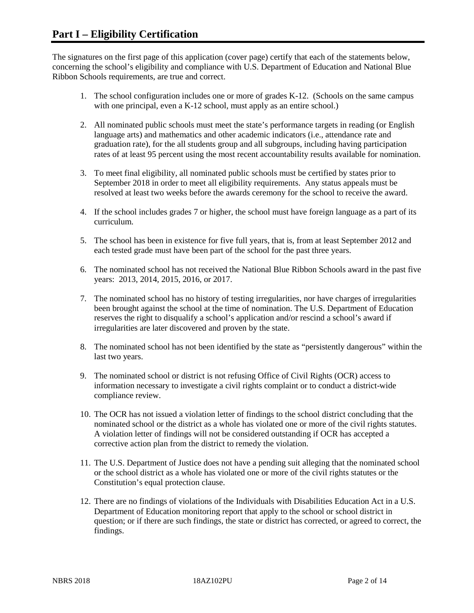The signatures on the first page of this application (cover page) certify that each of the statements below, concerning the school's eligibility and compliance with U.S. Department of Education and National Blue Ribbon Schools requirements, are true and correct.

- 1. The school configuration includes one or more of grades K-12. (Schools on the same campus with one principal, even a K-12 school, must apply as an entire school.)
- 2. All nominated public schools must meet the state's performance targets in reading (or English language arts) and mathematics and other academic indicators (i.e., attendance rate and graduation rate), for the all students group and all subgroups, including having participation rates of at least 95 percent using the most recent accountability results available for nomination.
- 3. To meet final eligibility, all nominated public schools must be certified by states prior to September 2018 in order to meet all eligibility requirements. Any status appeals must be resolved at least two weeks before the awards ceremony for the school to receive the award.
- 4. If the school includes grades 7 or higher, the school must have foreign language as a part of its curriculum.
- 5. The school has been in existence for five full years, that is, from at least September 2012 and each tested grade must have been part of the school for the past three years.
- 6. The nominated school has not received the National Blue Ribbon Schools award in the past five years: 2013, 2014, 2015, 2016, or 2017.
- 7. The nominated school has no history of testing irregularities, nor have charges of irregularities been brought against the school at the time of nomination. The U.S. Department of Education reserves the right to disqualify a school's application and/or rescind a school's award if irregularities are later discovered and proven by the state.
- 8. The nominated school has not been identified by the state as "persistently dangerous" within the last two years.
- 9. The nominated school or district is not refusing Office of Civil Rights (OCR) access to information necessary to investigate a civil rights complaint or to conduct a district-wide compliance review.
- 10. The OCR has not issued a violation letter of findings to the school district concluding that the nominated school or the district as a whole has violated one or more of the civil rights statutes. A violation letter of findings will not be considered outstanding if OCR has accepted a corrective action plan from the district to remedy the violation.
- 11. The U.S. Department of Justice does not have a pending suit alleging that the nominated school or the school district as a whole has violated one or more of the civil rights statutes or the Constitution's equal protection clause.
- 12. There are no findings of violations of the Individuals with Disabilities Education Act in a U.S. Department of Education monitoring report that apply to the school or school district in question; or if there are such findings, the state or district has corrected, or agreed to correct, the findings.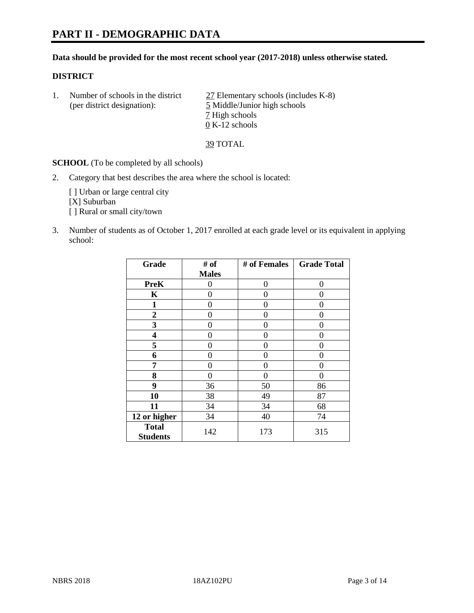#### **Data should be provided for the most recent school year (2017-2018) unless otherwise stated.**

## **DISTRICT**

|  | Number of schools in the district<br>(per district designation): | 27 Elementary schools (includes K-8)<br>5 Middle/Junior high schools |
|--|------------------------------------------------------------------|----------------------------------------------------------------------|
|  |                                                                  | 7 High schools                                                       |
|  |                                                                  | $0 K-12$ schools                                                     |

39 TOTAL

**SCHOOL** (To be completed by all schools)

2. Category that best describes the area where the school is located:

[] Urban or large central city [X] Suburban [ ] Rural or small city/town

3. Number of students as of October 1, 2017 enrolled at each grade level or its equivalent in applying school:

| Grade                           | # of         | # of Females | <b>Grade Total</b> |
|---------------------------------|--------------|--------------|--------------------|
|                                 | <b>Males</b> |              |                    |
| <b>PreK</b>                     | 0            | 0            | 0                  |
| $\mathbf K$                     | 0            | 0            | 0                  |
| $\mathbf{1}$                    | 0            | 0            | 0                  |
| 2                               | 0            | 0            | 0                  |
| 3                               | 0            | 0            | 0                  |
| 4                               | 0            | 0            | 0                  |
| 5                               | 0            | 0            | 0                  |
| 6                               | 0            | 0            | 0                  |
| 7                               | 0            | 0            | 0                  |
| 8                               | 0            | 0            | 0                  |
| 9                               | 36           | 50           | 86                 |
| 10                              | 38           | 49           | 87                 |
| 11                              | 34           | 34           | 68                 |
| 12 or higher                    | 34           | 40           | 74                 |
| <b>Total</b><br><b>Students</b> | 142          | 173          | 315                |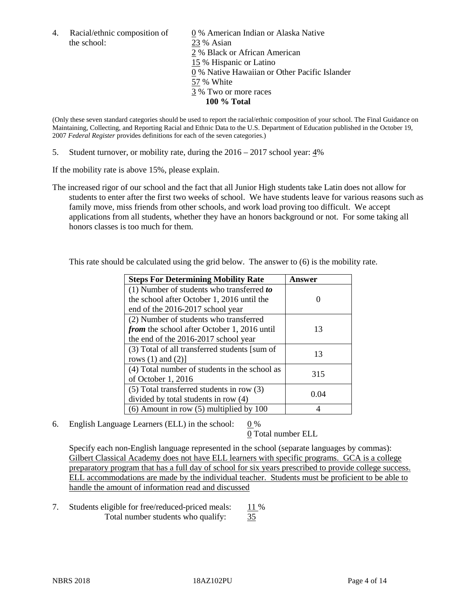the school: 23 % Asian

4. Racial/ethnic composition of  $\qquad 0\%$  American Indian or Alaska Native 2 % Black or African American 15 % Hispanic or Latino 0 % Native Hawaiian or Other Pacific Islander 57 % White 3 % Two or more races **100 % Total**

(Only these seven standard categories should be used to report the racial/ethnic composition of your school. The Final Guidance on Maintaining, Collecting, and Reporting Racial and Ethnic Data to the U.S. Department of Education published in the October 19, 2007 *Federal Register* provides definitions for each of the seven categories.)

5. Student turnover, or mobility rate, during the 2016 – 2017 school year: 4%

If the mobility rate is above 15%, please explain.

The increased rigor of our school and the fact that all Junior High students take Latin does not allow for students to enter after the first two weeks of school. We have students leave for various reasons such as family move, miss friends from other schools, and work load proving too difficult. We accept applications from all students, whether they have an honors background or not. For some taking all honors classes is too much for them.

This rate should be calculated using the grid below. The answer to (6) is the mobility rate.

| <b>Steps For Determining Mobility Rate</b>         | Answer |
|----------------------------------------------------|--------|
| (1) Number of students who transferred to          |        |
| the school after October 1, 2016 until the         |        |
| end of the 2016-2017 school year                   |        |
| (2) Number of students who transferred             |        |
| <i>from</i> the school after October 1, 2016 until | 13     |
| the end of the 2016-2017 school year               |        |
| (3) Total of all transferred students [sum of      | 13     |
| rows $(1)$ and $(2)$ ]                             |        |
| (4) Total number of students in the school as      | 315    |
| of October 1, 2016                                 |        |
| (5) Total transferred students in row (3)          | 0.04   |
| divided by total students in row (4)               |        |
| $(6)$ Amount in row $(5)$ multiplied by 100        |        |

6. English Language Learners (ELL) in the school:  $0\%$ 

0 Total number ELL

Specify each non-English language represented in the school (separate languages by commas): Gilbert Classical Academy does not have ELL learners with specific programs. GCA is a college preparatory program that has a full day of school for six years prescribed to provide college success. ELL accommodations are made by the individual teacher. Students must be proficient to be able to handle the amount of information read and discussed

7. Students eligible for free/reduced-priced meals: 11 % Total number students who qualify: 35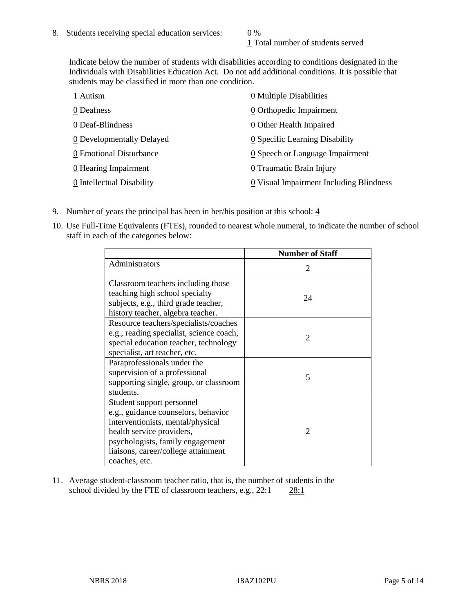1 Total number of students served

Indicate below the number of students with disabilities according to conditions designated in the Individuals with Disabilities Education Act. Do not add additional conditions. It is possible that students may be classified in more than one condition.

| 1 Autism                  | 0 Multiple Disabilities                 |
|---------------------------|-----------------------------------------|
| 0 Deafness                | 0 Orthopedic Impairment                 |
| 0 Deaf-Blindness          | 0 Other Health Impaired                 |
| 0 Developmentally Delayed | 0 Specific Learning Disability          |
| 0 Emotional Disturbance   | 0 Speech or Language Impairment         |
| 0 Hearing Impairment      | 0 Traumatic Brain Injury                |
| 0 Intellectual Disability | 0 Visual Impairment Including Blindness |

- 9. Number of years the principal has been in her/his position at this school:  $\frac{4}{3}$
- 10. Use Full-Time Equivalents (FTEs), rounded to nearest whole numeral, to indicate the number of school staff in each of the categories below:

|                                                                                                                                                                                                                                | <b>Number of Staff</b>      |
|--------------------------------------------------------------------------------------------------------------------------------------------------------------------------------------------------------------------------------|-----------------------------|
| Administrators                                                                                                                                                                                                                 | $\mathcal{D}_{\mathcal{L}}$ |
| Classroom teachers including those<br>teaching high school specialty<br>subjects, e.g., third grade teacher,<br>history teacher, algebra teacher.                                                                              | 24                          |
| Resource teachers/specialists/coaches<br>e.g., reading specialist, science coach,<br>special education teacher, technology<br>specialist, art teacher, etc.                                                                    | $\mathcal{D}_{\mathcal{L}}$ |
| Paraprofessionals under the<br>supervision of a professional<br>supporting single, group, or classroom<br>students.                                                                                                            | 5                           |
| Student support personnel<br>e.g., guidance counselors, behavior<br>interventionists, mental/physical<br>health service providers,<br>psychologists, family engagement<br>liaisons, career/college attainment<br>coaches, etc. | $\mathfrak{D}$              |

11. Average student-classroom teacher ratio, that is, the number of students in the school divided by the FTE of classroom teachers, e.g., 22:1 28:1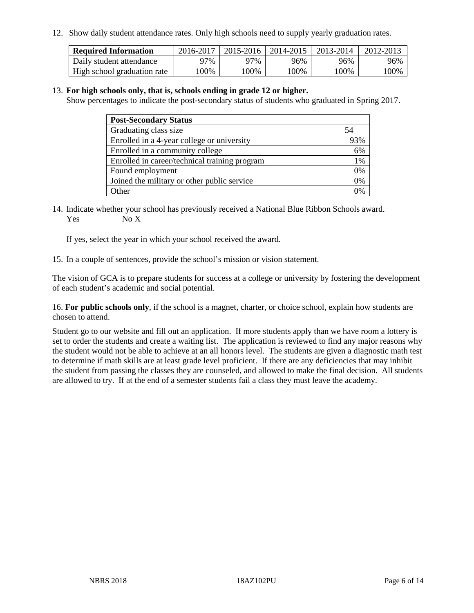12. Show daily student attendance rates. Only high schools need to supply yearly graduation rates.

| <b>Required Information</b> | 2016-2017 | 2015-2016 | 2014-2015 | 2013-2014 | 2012-2013 |
|-----------------------------|-----------|-----------|-----------|-----------|-----------|
| Daily student attendance    | 97%       | 97%       | 96%       | 96%       | 96%       |
| High school graduation rate | .00%      | 00%       | 00%       | ' 00%     | $00\%$    |

#### 13. **For high schools only, that is, schools ending in grade 12 or higher.**

Show percentages to indicate the post-secondary status of students who graduated in Spring 2017.

| <b>Post-Secondary Status</b>                  |                |
|-----------------------------------------------|----------------|
| Graduating class size                         | 54             |
| Enrolled in a 4-year college or university    | 93%            |
| Enrolled in a community college               | 6%             |
| Enrolled in career/technical training program | 1%             |
| Found employment                              | 0%             |
| Joined the military or other public service   | 0%             |
| Other                                         | $\frac{10}{6}$ |

14. Indicate whether your school has previously received a National Blue Ribbon Schools award. Yes No X

If yes, select the year in which your school received the award.

15. In a couple of sentences, provide the school's mission or vision statement.

The vision of GCA is to prepare students for success at a college or university by fostering the development of each student's academic and social potential.

16. **For public schools only**, if the school is a magnet, charter, or choice school, explain how students are chosen to attend.

Student go to our website and fill out an application. If more students apply than we have room a lottery is set to order the students and create a waiting list. The application is reviewed to find any major reasons why the student would not be able to achieve at an all honors level. The students are given a diagnostic math test to determine if math skills are at least grade level proficient. If there are any deficiencies that may inhibit the student from passing the classes they are counseled, and allowed to make the final decision. All students are allowed to try. If at the end of a semester students fail a class they must leave the academy.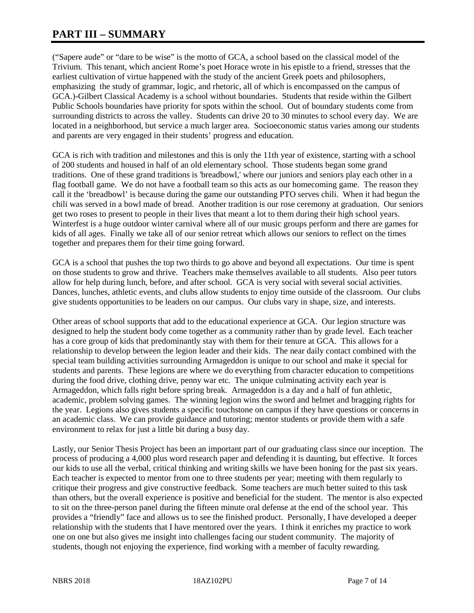# **PART III – SUMMARY**

("Sapere aude" or "dare to be wise" is the motto of GCA, a school based on the classical model of the Trivium. This tenant, which ancient Rome's poet Horace wrote in his epistle to a friend, stresses that the earliest cultivation of virtue happened with the study of the ancient Greek poets and philosophers, emphasizing the study of grammar, logic, and rhetoric, all of which is encompassed on the campus of GCA.)-Gilbert Classical Academy is a school without boundaries. Students that reside within the Gilbert Public Schools boundaries have priority for spots within the school. Out of boundary students come from surrounding districts to across the valley. Students can drive 20 to 30 minutes to school every day. We are located in a neighborhood, but service a much larger area. Socioeconomic status varies among our students and parents are very engaged in their students' progress and education.

GCA is rich with tradition and milestones and this is only the 11th year of existence, starting with a school of 200 students and housed in half of an old elementary school. Those students began some grand traditions. One of these grand traditions is 'breadbowl,' where our juniors and seniors play each other in a flag football game. We do not have a football team so this acts as our homecoming game. The reason they call it the 'breadbowl' is because during the game our outstanding PTO serves chili. When it had begun the chili was served in a bowl made of bread. Another tradition is our rose ceremony at graduation. Our seniors get two roses to present to people in their lives that meant a lot to them during their high school years. Winterfest is a huge outdoor winter carnival where all of our music groups perform and there are games for kids of all ages. Finally we take all of our senior retreat which allows our seniors to reflect on the times together and prepares them for their time going forward.

GCA is a school that pushes the top two thirds to go above and beyond all expectations. Our time is spent on those students to grow and thrive. Teachers make themselves available to all students. Also peer tutors allow for help during lunch, before, and after school. GCA is very social with several social activities. Dances, lunches, athletic events, and clubs allow students to enjoy time outside of the classroom. Our clubs give students opportunities to be leaders on our campus. Our clubs vary in shape, size, and interests.

Other areas of school supports that add to the educational experience at GCA. Our legion structure was designed to help the student body come together as a community rather than by grade level. Each teacher has a core group of kids that predominantly stay with them for their tenure at GCA. This allows for a relationship to develop between the legion leader and their kids. The near daily contact combined with the special team building activities surrounding Armageddon is unique to our school and make it special for students and parents. These legions are where we do everything from character education to competitions during the food drive, clothing drive, penny war etc. The unique culminating activity each year is Armageddon, which falls right before spring break. Armageddon is a day and a half of fun athletic, academic, problem solving games. The winning legion wins the sword and helmet and bragging rights for the year. Legions also gives students a specific touchstone on campus if they have questions or concerns in an academic class. We can provide guidance and tutoring; mentor students or provide them with a safe environment to relax for just a little bit during a busy day.

Lastly, our Senior Thesis Project has been an important part of our graduating class since our inception. The process of producing a 4,000 plus word research paper and defending it is daunting, but effective. It forces our kids to use all the verbal, critical thinking and writing skills we have been honing for the past six years. Each teacher is expected to mentor from one to three students per year; meeting with them regularly to critique their progress and give constructive feedback. Some teachers are much better suited to this task than others, but the overall experience is positive and beneficial for the student. The mentor is also expected to sit on the three-person panel during the fifteen minute oral defense at the end of the school year. This provides a "friendly" face and allows us to see the finished product. Personally, I have developed a deeper relationship with the students that I have mentored over the years. I think it enriches my practice to work one on one but also gives me insight into challenges facing our student community. The majority of students, though not enjoying the experience, find working with a member of faculty rewarding.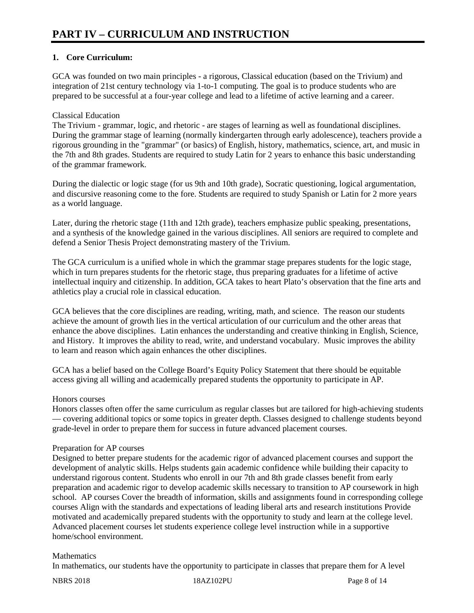# **1. Core Curriculum:**

GCA was founded on two main principles - a rigorous, Classical education (based on the Trivium) and integration of 21st century technology via 1-to-1 computing. The goal is to produce students who are prepared to be successful at a four-year college and lead to a lifetime of active learning and a career.

### Classical Education

The Trivium - grammar, logic, and rhetoric - are stages of learning as well as foundational disciplines. During the grammar stage of learning (normally kindergarten through early adolescence), teachers provide a rigorous grounding in the "grammar" (or basics) of English, history, mathematics, science, art, and music in the 7th and 8th grades. Students are required to study Latin for 2 years to enhance this basic understanding of the grammar framework.

During the dialectic or logic stage (for us 9th and 10th grade), Socratic questioning, logical argumentation, and discursive reasoning come to the fore. Students are required to study Spanish or Latin for 2 more years as a world language.

Later, during the rhetoric stage (11th and 12th grade), teachers emphasize public speaking, presentations, and a synthesis of the knowledge gained in the various disciplines. All seniors are required to complete and defend a Senior Thesis Project demonstrating mastery of the Trivium.

The GCA curriculum is a unified whole in which the grammar stage prepares students for the logic stage, which in turn prepares students for the rhetoric stage, thus preparing graduates for a lifetime of active intellectual inquiry and citizenship. In addition, GCA takes to heart Plato's observation that the fine arts and athletics play a crucial role in classical education.

GCA believes that the core disciplines are reading, writing, math, and science. The reason our students achieve the amount of growth lies in the vertical articulation of our curriculum and the other areas that enhance the above disciplines. Latin enhances the understanding and creative thinking in English, Science, and History. It improves the ability to read, write, and understand vocabulary. Music improves the ability to learn and reason which again enhances the other disciplines.

GCA has a belief based on the College Board's Equity Policy Statement that there should be equitable access giving all willing and academically prepared students the opportunity to participate in AP.

#### Honors courses

Honors classes often offer the same curriculum as regular classes but are tailored for high-achieving students — covering additional topics or some topics in greater depth. Classes designed to challenge students beyond grade-level in order to prepare them for success in future advanced placement courses.

#### Preparation for AP courses

Designed to better prepare students for the academic rigor of advanced placement courses and support the development of analytic skills. Helps students gain academic confidence while building their capacity to understand rigorous content. Students who enroll in our 7th and 8th grade classes benefit from early preparation and academic rigor to develop academic skills necessary to transition to AP coursework in high school. AP courses Cover the breadth of information, skills and assignments found in corresponding college courses Align with the standards and expectations of leading liberal arts and research institutions Provide motivated and academically prepared students with the opportunity to study and learn at the college level. Advanced placement courses let students experience college level instruction while in a supportive home/school environment.

#### **Mathematics**

In mathematics, our students have the opportunity to participate in classes that prepare them for A level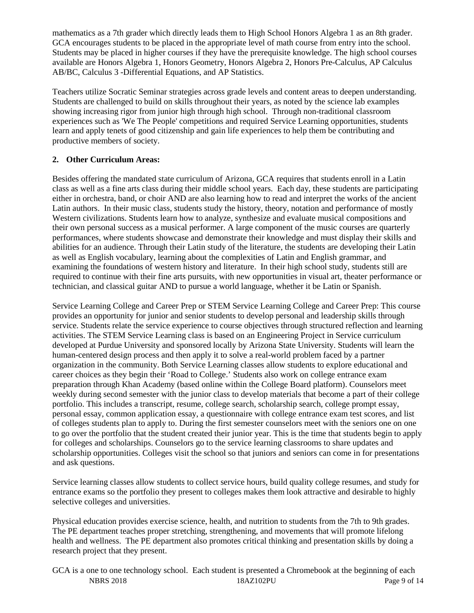mathematics as a 7th grader which directly leads them to High School Honors Algebra 1 as an 8th grader. GCA encourages students to be placed in the appropriate level of math course from entry into the school. Students may be placed in higher courses if they have the prerequisite knowledge. The high school courses available are Honors Algebra 1, Honors Geometry, Honors Algebra 2, Honors Pre-Calculus, AP Calculus AB/BC, Calculus 3 -Differential Equations, and AP Statistics.

Teachers utilize Socratic Seminar strategies across grade levels and content areas to deepen understanding. Students are challenged to build on skills throughout their years, as noted by the science lab examples showing increasing rigor from junior high through high school. Through non-traditional classroom experiences such as 'We The People' competitions and required Service Learning opportunities, students learn and apply tenets of good citizenship and gain life experiences to help them be contributing and productive members of society.

# **2. Other Curriculum Areas:**

Besides offering the mandated state curriculum of Arizona, GCA requires that students enroll in a Latin class as well as a fine arts class during their middle school years. Each day, these students are participating either in orchestra, band, or choir AND are also learning how to read and interpret the works of the ancient Latin authors. In their music class, students study the history, theory, notation and performance of mostly Western civilizations. Students learn how to analyze, synthesize and evaluate musical compositions and their own personal success as a musical performer. A large component of the music courses are quarterly performances, where students showcase and demonstrate their knowledge and must display their skills and abilities for an audience. Through their Latin study of the literature, the students are developing their Latin as well as English vocabulary, learning about the complexities of Latin and English grammar, and examining the foundations of western history and literature. In their high school study, students still are required to continue with their fine arts pursuits, with new opportunities in visual art, theater performance or technician, and classical guitar AND to pursue a world language, whether it be Latin or Spanish.

Service Learning College and Career Prep or STEM Service Learning College and Career Prep: This course provides an opportunity for junior and senior students to develop personal and leadership skills through service. Students relate the service experience to course objectives through structured reflection and learning activities. The STEM Service Learning class is based on an Engineering Project in Service curriculum developed at Purdue University and sponsored locally by Arizona State University. Students will learn the human-centered design process and then apply it to solve a real-world problem faced by a partner organization in the community. Both Service Learning classes allow students to explore educational and career choices as they begin their 'Road to College.' Students also work on college entrance exam preparation through Khan Academy (based online within the College Board platform). Counselors meet weekly during second semester with the junior class to develop materials that become a part of their college portfolio. This includes a transcript, resume, college search, scholarship search, college prompt essay, personal essay, common application essay, a questionnaire with college entrance exam test scores, and list of colleges students plan to apply to. During the first semester counselors meet with the seniors one on one to go over the portfolio that the student created their junior year. This is the time that students begin to apply for colleges and scholarships. Counselors go to the service learning classrooms to share updates and scholarship opportunities. Colleges visit the school so that juniors and seniors can come in for presentations and ask questions.

Service learning classes allow students to collect service hours, build quality college resumes, and study for entrance exams so the portfolio they present to colleges makes them look attractive and desirable to highly selective colleges and universities.

Physical education provides exercise science, health, and nutrition to students from the 7th to 9th grades. The PE department teaches proper stretching, strengthening, and movements that will promote lifelong health and wellness. The PE department also promotes critical thinking and presentation skills by doing a research project that they present.

NBRS 2018 18AZ102PU Page 9 of 14 GCA is a one to one technology school. Each student is presented a Chromebook at the beginning of each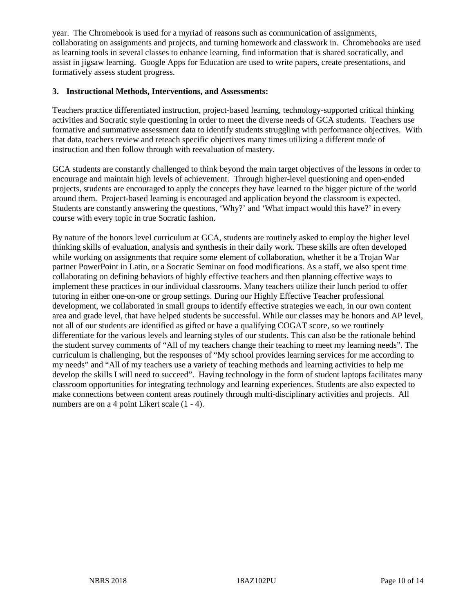year. The Chromebook is used for a myriad of reasons such as communication of assignments, collaborating on assignments and projects, and turning homework and classwork in. Chromebooks are used as learning tools in several classes to enhance learning, find information that is shared socratically, and assist in jigsaw learning. Google Apps for Education are used to write papers, create presentations, and formatively assess student progress.

#### **3. Instructional Methods, Interventions, and Assessments:**

Teachers practice differentiated instruction, project-based learning, technology-supported critical thinking activities and Socratic style questioning in order to meet the diverse needs of GCA students. Teachers use formative and summative assessment data to identify students struggling with performance objectives. With that data, teachers review and reteach specific objectives many times utilizing a different mode of instruction and then follow through with reevaluation of mastery.

GCA students are constantly challenged to think beyond the main target objectives of the lessons in order to encourage and maintain high levels of achievement. Through higher-level questioning and open-ended projects, students are encouraged to apply the concepts they have learned to the bigger picture of the world around them. Project-based learning is encouraged and application beyond the classroom is expected. Students are constantly answering the questions, 'Why?' and 'What impact would this have?' in every course with every topic in true Socratic fashion.

By nature of the honors level curriculum at GCA, students are routinely asked to employ the higher level thinking skills of evaluation, analysis and synthesis in their daily work. These skills are often developed while working on assignments that require some element of collaboration, whether it be a Trojan War partner PowerPoint in Latin, or a Socratic Seminar on food modifications. As a staff, we also spent time collaborating on defining behaviors of highly effective teachers and then planning effective ways to implement these practices in our individual classrooms. Many teachers utilize their lunch period to offer tutoring in either one-on-one or group settings. During our Highly Effective Teacher professional development, we collaborated in small groups to identify effective strategies we each, in our own content area and grade level, that have helped students be successful. While our classes may be honors and AP level, not all of our students are identified as gifted or have a qualifying COGAT score, so we routinely differentiate for the various levels and learning styles of our students. This can also be the rationale behind the student survey comments of "All of my teachers change their teaching to meet my learning needs". The curriculum is challenging, but the responses of "My school provides learning services for me according to my needs" and "All of my teachers use a variety of teaching methods and learning activities to help me develop the skills I will need to succeed". Having technology in the form of student laptops facilitates many classroom opportunities for integrating technology and learning experiences. Students are also expected to make connections between content areas routinely through multi-disciplinary activities and projects. All numbers are on a 4 point Likert scale (1 - 4).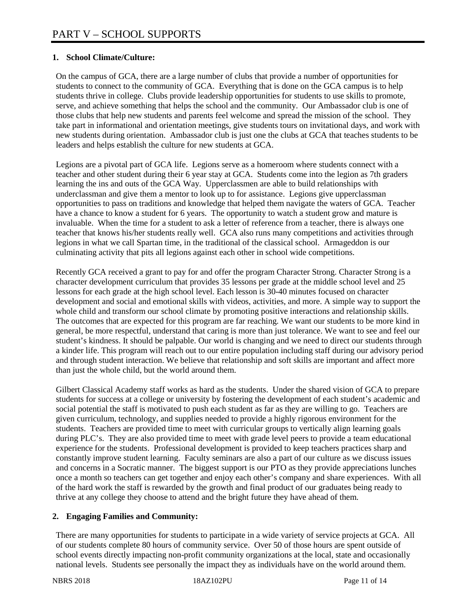## **1. School Climate/Culture:**

On the campus of GCA, there are a large number of clubs that provide a number of opportunities for students to connect to the community of GCA. Everything that is done on the GCA campus is to help students thrive in college. Clubs provide leadership opportunities for students to use skills to promote, serve, and achieve something that helps the school and the community. Our Ambassador club is one of those clubs that help new students and parents feel welcome and spread the mission of the school. They take part in informational and orientation meetings, give students tours on invitational days, and work with new students during orientation. Ambassador club is just one the clubs at GCA that teaches students to be leaders and helps establish the culture for new students at GCA.

Legions are a pivotal part of GCA life. Legions serve as a homeroom where students connect with a teacher and other student during their 6 year stay at GCA. Students come into the legion as 7th graders learning the ins and outs of the GCA Way. Upperclassmen are able to build relationships with underclassman and give them a mentor to look up to for assistance. Legions give upperclassman opportunities to pass on traditions and knowledge that helped them navigate the waters of GCA. Teacher have a chance to know a student for 6 years. The opportunity to watch a student grow and mature is invaluable. When the time for a student to ask a letter of reference from a teacher, there is always one teacher that knows his/her students really well. GCA also runs many competitions and activities through legions in what we call Spartan time, in the traditional of the classical school. Armageddon is our culminating activity that pits all legions against each other in school wide competitions.

Recently GCA received a grant to pay for and offer the program Character Strong. Character Strong is a character development curriculum that provides 35 lessons per grade at the middle school level and 25 lessons for each grade at the high school level. Each lesson is 30-40 minutes focused on character development and social and emotional skills with videos, activities, and more. A simple way to support the whole child and transform our school climate by promoting positive interactions and relationship skills. The outcomes that are expected for this program are far reaching. We want our students to be more kind in general, be more respectful, understand that caring is more than just tolerance. We want to see and feel our student's kindness. It should be palpable. Our world is changing and we need to direct our students through a kinder life. This program will reach out to our entire population including staff during our advisory period and through student interaction. We believe that relationship and soft skills are important and affect more than just the whole child, but the world around them.

Gilbert Classical Academy staff works as hard as the students. Under the shared vision of GCA to prepare students for success at a college or university by fostering the development of each student's academic and social potential the staff is motivated to push each student as far as they are willing to go. Teachers are given curriculum, technology, and supplies needed to provide a highly rigorous environment for the students. Teachers are provided time to meet with curricular groups to vertically align learning goals during PLC's. They are also provided time to meet with grade level peers to provide a team educational experience for the students. Professional development is provided to keep teachers practices sharp and constantly improve student learning. Faculty seminars are also a part of our culture as we discuss issues and concerns in a Socratic manner. The biggest support is our PTO as they provide appreciations lunches once a month so teachers can get together and enjoy each other's company and share experiences. With all of the hard work the staff is rewarded by the growth and final product of our graduates being ready to thrive at any college they choose to attend and the bright future they have ahead of them.

#### **2. Engaging Families and Community:**

There are many opportunities for students to participate in a wide variety of service projects at GCA. All of our students complete 80 hours of community service. Over 50 of those hours are spent outside of school events directly impacting non-profit community organizations at the local, state and occasionally national levels. Students see personally the impact they as individuals have on the world around them.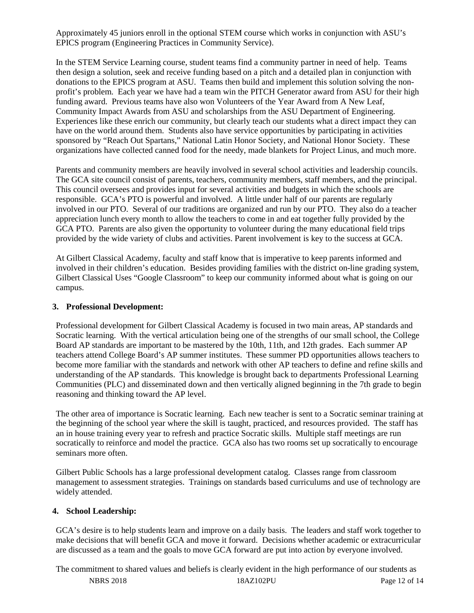Approximately 45 juniors enroll in the optional STEM course which works in conjunction with ASU's EPICS program (Engineering Practices in Community Service).

In the STEM Service Learning course, student teams find a community partner in need of help. Teams then design a solution, seek and receive funding based on a pitch and a detailed plan in conjunction with donations to the EPICS program at ASU. Teams then build and implement this solution solving the nonprofit's problem. Each year we have had a team win the PITCH Generator award from ASU for their high funding award. Previous teams have also won Volunteers of the Year Award from A New Leaf, Community Impact Awards from ASU and scholarships from the ASU Department of Engineering. Experiences like these enrich our community, but clearly teach our students what a direct impact they can have on the world around them. Students also have service opportunities by participating in activities sponsored by "Reach Out Spartans," National Latin Honor Society, and National Honor Society. These organizations have collected canned food for the needy, made blankets for Project Linus, and much more.

Parents and community members are heavily involved in several school activities and leadership councils. The GCA site council consist of parents, teachers, community members, staff members, and the principal. This council oversees and provides input for several activities and budgets in which the schools are responsible. GCA's PTO is powerful and involved. A little under half of our parents are regularly involved in our PTO. Several of our traditions are organized and run by our PTO. They also do a teacher appreciation lunch every month to allow the teachers to come in and eat together fully provided by the GCA PTO. Parents are also given the opportunity to volunteer during the many educational field trips provided by the wide variety of clubs and activities. Parent involvement is key to the success at GCA.

At Gilbert Classical Academy, faculty and staff know that is imperative to keep parents informed and involved in their children's education. Besides providing families with the district on-line grading system, Gilbert Classical Uses "Google Classroom" to keep our community informed about what is going on our campus.

#### **3. Professional Development:**

Professional development for Gilbert Classical Academy is focused in two main areas, AP standards and Socratic learning. With the vertical articulation being one of the strengths of our small school, the College Board AP standards are important to be mastered by the 10th, 11th, and 12th grades. Each summer AP teachers attend College Board's AP summer institutes. These summer PD opportunities allows teachers to become more familiar with the standards and network with other AP teachers to define and refine skills and understanding of the AP standards. This knowledge is brought back to departments Professional Learning Communities (PLC) and disseminated down and then vertically aligned beginning in the 7th grade to begin reasoning and thinking toward the AP level.

The other area of importance is Socratic learning. Each new teacher is sent to a Socratic seminar training at the beginning of the school year where the skill is taught, practiced, and resources provided. The staff has an in house training every year to refresh and practice Socratic skills. Multiple staff meetings are run socratically to reinforce and model the practice. GCA also has two rooms set up socratically to encourage seminars more often.

Gilbert Public Schools has a large professional development catalog. Classes range from classroom management to assessment strategies. Trainings on standards based curriculums and use of technology are widely attended.

#### **4. School Leadership:**

GCA's desire is to help students learn and improve on a daily basis. The leaders and staff work together to make decisions that will benefit GCA and move it forward. Decisions whether academic or extracurricular are discussed as a team and the goals to move GCA forward are put into action by everyone involved.

NBRS 2018 18AZ102PU Page 12 of 14 The commitment to shared values and beliefs is clearly evident in the high performance of our students as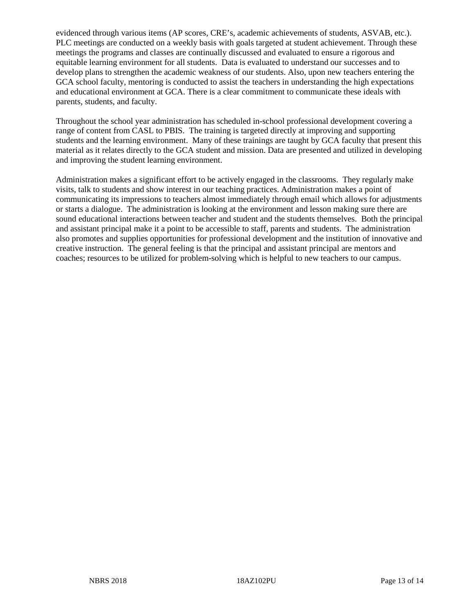evidenced through various items (AP scores, CRE's, academic achievements of students, ASVAB, etc.). PLC meetings are conducted on a weekly basis with goals targeted at student achievement. Through these meetings the programs and classes are continually discussed and evaluated to ensure a rigorous and equitable learning environment for all students. Data is evaluated to understand our successes and to develop plans to strengthen the academic weakness of our students. Also, upon new teachers entering the GCA school faculty, mentoring is conducted to assist the teachers in understanding the high expectations and educational environment at GCA. There is a clear commitment to communicate these ideals with parents, students, and faculty.

Throughout the school year administration has scheduled in-school professional development covering a range of content from CASL to PBIS. The training is targeted directly at improving and supporting students and the learning environment. Many of these trainings are taught by GCA faculty that present this material as it relates directly to the GCA student and mission. Data are presented and utilized in developing and improving the student learning environment.

Administration makes a significant effort to be actively engaged in the classrooms. They regularly make visits, talk to students and show interest in our teaching practices. Administration makes a point of communicating its impressions to teachers almost immediately through email which allows for adjustments or starts a dialogue. The administration is looking at the environment and lesson making sure there are sound educational interactions between teacher and student and the students themselves. Both the principal and assistant principal make it a point to be accessible to staff, parents and students. The administration also promotes and supplies opportunities for professional development and the institution of innovative and creative instruction. The general feeling is that the principal and assistant principal are mentors and coaches; resources to be utilized for problem-solving which is helpful to new teachers to our campus.